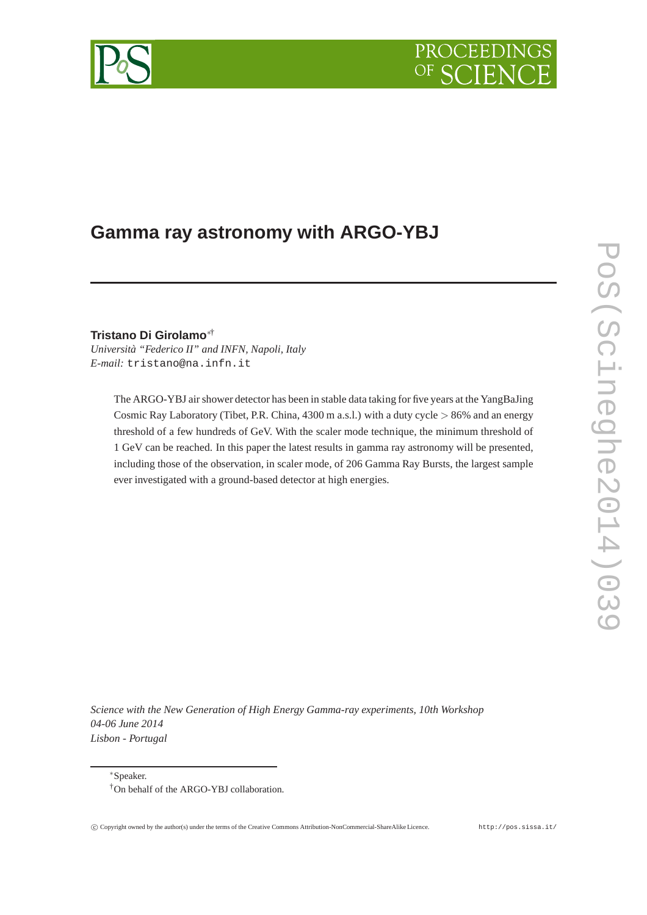# PROCEEDIN



# **Gamma ray astronomy with ARGO-YBJ**

**Tristano Di Girolamo**∗†

*Università "Federico II" and INFN, Napoli, Italy E-mail:* tristano@na.infn.it

> The ARGO-YBJ air shower detector has been in stable data taking for five years at the YangBaJing Cosmic Ray Laboratory (Tibet, P.R. China, 4300 m a.s.l.) with a duty cycle > 86% and an energy threshold of a few hundreds of GeV. With the scaler mode technique, the minimum threshold of 1 GeV can be reached. In this paper the latest results in gamma ray astronomy will be presented, including those of the observation, in scaler mode, of 206 Gamma Ray Bursts, the largest sample ever investigated with a ground-based detector at high energies.

*Science with the New Generation of High Energy Gamma-ray experiments, 10th Workshop 04-06 June 2014 Lisbon - Portugal*

<sup>∗</sup>Speaker.

<sup>†</sup>On behalf of the ARGO-YBJ collaboration.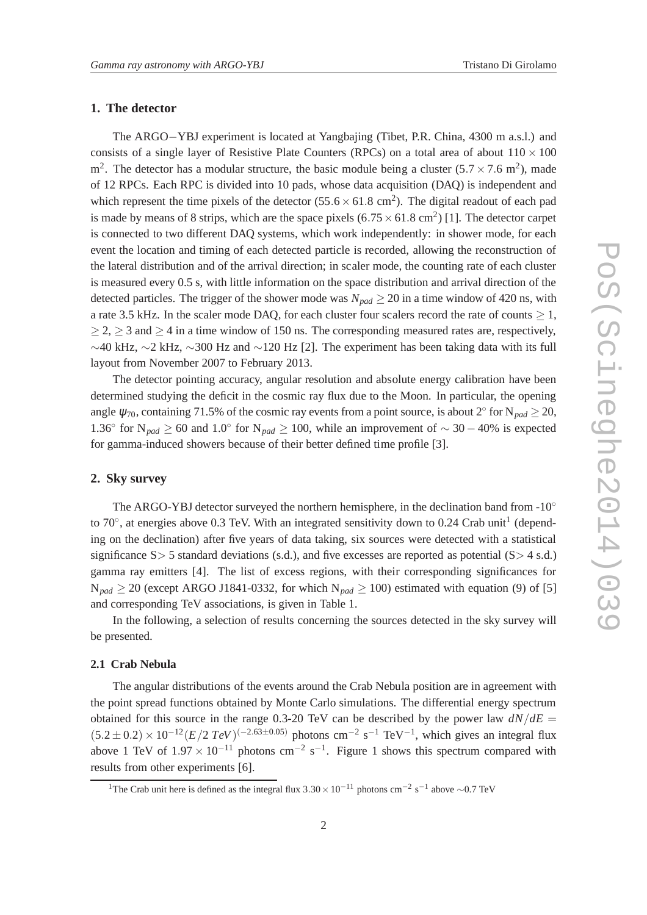## **1. The detector**

The ARGO−YBJ experiment is located at Yangbajing (Tibet, P.R. China, 4300 m a.s.l.) and consists of a single layer of Resistive Plate Counters (RPCs) on a total area of about  $110 \times 100$  $\text{m}^2$ . The detector has a modular structure, the basic module being a cluster (5.7  $\times$  7.6 m<sup>2</sup>), made of 12 RPCs. Each RPC is divided into 10 pads, whose data acquisition (DAQ) is independent and which represent the time pixels of the detector  $(55.6 \times 61.8 \text{ cm}^2)$ . The digital readout of each pad is made by means of 8 strips, which are the space pixels  $(6.75 \times 61.8 \text{ cm}^2)$  [1]. The detector carpet is connected to two different DAQ systems, which work independently: in shower mode, for each event the location and timing of each detected particle is recorded, allowing the reconstruction of the lateral distribution and of the arrival direction; in scaler mode, the counting rate of each cluster is measured every 0.5 s, with little information on the space distribution and arrival direction of the detected particles. The trigger of the shower mode was  $N_{pad} \ge 20$  in a time window of 420 ns, with a rate 3.5 kHz. In the scaler mode DAQ, for each cluster four scalers record the rate of counts  $\geq 1$ ,  $\geq$  2,  $\geq$  3 and  $\geq$  4 in a time window of 150 ns. The corresponding measured rates are, respectively,  $\sim$ 40 kHz,  $\sim$ 2 kHz,  $\sim$ 300 Hz and  $\sim$ 120 Hz [2]. The experiment has been taking data with its full layout from November 2007 to February 2013.

The detector pointing accuracy, angular resolution and absolute energy calibration have been determined studying the deficit in the cosmic ray flux due to the Moon. In particular, the opening angle  $\psi_{70}$ , containing 71.5% of the cosmic ray events from a point source, is about 2<sup>°</sup> for N<sub>pad</sub>  $\geq$  20, 1.36<sup>°</sup> for N<sub>pad</sub> ≥ 60 and 1.0<sup>°</sup> for N<sub>pad</sub> ≥ 100, while an improvement of ~ 30 – 40% is expected for gamma-induced showers because of their better defined time profile [3].

#### **2. Sky survey**

The ARGO-YBJ detector surveyed the northern hemisphere, in the declination band from -10° to 70 $^{\circ}$ , at energies above 0.3 TeV. With an integrated sensitivity down to 0.24 Crab unit<sup>1</sup> (depending on the declination) after five years of data taking, six sources were detected with a statistical significance  $S > 5$  standard deviations (s.d.), and five excesses are reported as potential ( $S > 4$  s.d.) gamma ray emitters [4]. The list of excess regions, with their corresponding significances for  $N_{pad} \ge 20$  (except ARGO J1841-0332, for which  $N_{pad} \ge 100$ ) estimated with equation (9) of [5] and corresponding TeV associations, is given in Table 1.

In the following, a selection of results concerning the sources detected in the sky survey will be presented.

# **2.1 Crab Nebula**

The angular distributions of the events around the Crab Nebula position are in agreement with the point spread functions obtained by Monte Carlo simulations. The differential energy spectrum obtained for this source in the range 0.3-20 TeV can be described by the power law  $dN/dE =$  $(5.2 \pm 0.2) \times 10^{-12} (E/2 \text{ TeV})^{(-2.63 \pm 0.05)}$  photons cm<sup>-2</sup> s<sup>-1</sup> TeV<sup>-1</sup>, which gives an integral flux above 1 TeV of  $1.97 \times 10^{-11}$  photons cm<sup>-2</sup> s<sup>-1</sup>. Figure 1 shows this spectrum compared with results from other experiments [6].

<sup>&</sup>lt;sup>1</sup>The Crab unit here is defined as the integral flux  $3.30 \times 10^{-11}$  photons cm<sup>-2</sup> s<sup>-1</sup> above ~0.7 TeV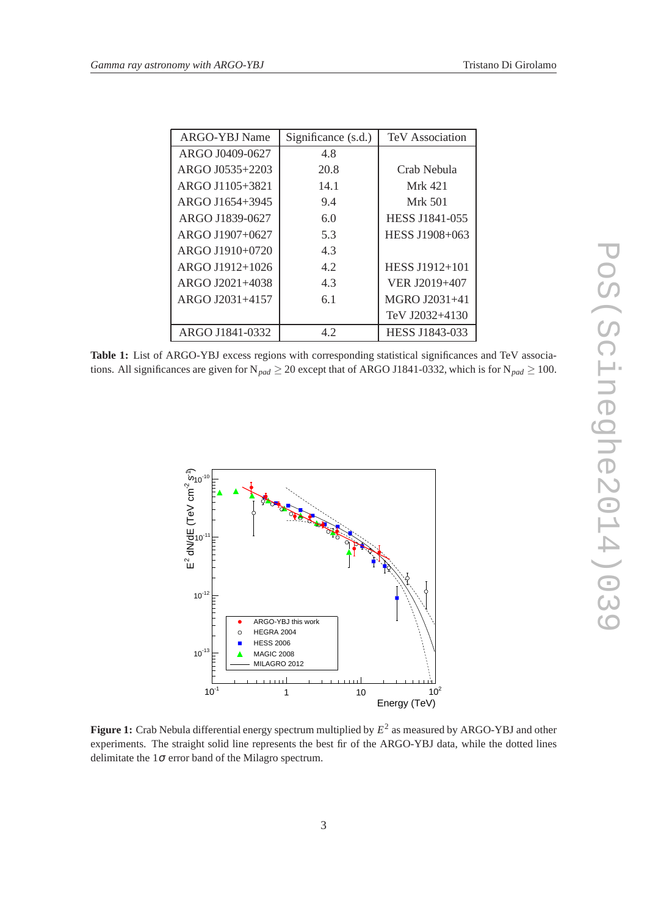| ARGO-YBJ Name   | Significance (s.d.) | TeV Association |
|-----------------|---------------------|-----------------|
| ARGO J0409-0627 | 4.8                 |                 |
| ARGO J0535+2203 | 20.8                | Crab Nebula     |
| ARGO J1105+3821 | 14.1                | Mrk 421         |
| ARGO J1654+3945 | 9.4                 | Mrk 501         |
| ARGO J1839-0627 | 6.0                 | HESS J1841-055  |
| ARGO J1907+0627 | 5.3                 | HESS J1908+063  |
| ARGO J1910+0720 | 4.3                 |                 |
| ARGO J1912+1026 | 4.2                 | HESS J1912+101  |
| ARGO J2021+4038 | 4.3                 | VER J2019+407   |
| ARGO J2031+4157 | 6.1                 | MGRO J2031+41   |
|                 |                     | TeV J2032+4130  |
| ARGO J1841-0332 | 4.2                 | HESS J1843-033  |

Table 1: List of ARGO-YBJ excess regions with corresponding statistical significances and TeV associations. All significances are given for  $N_{pad} \ge 20$  except that of ARGO J1841-0332, which is for  $N_{pad} \ge 100$ .



**Figure 1:** Crab Nebula differential energy spectrum multiplied by *E* 2 as measured by ARGO-YBJ and other experiments. The straight solid line represents the best fir of the ARGO-YBJ data, while the dotted lines delimitate the  $1\sigma$  error band of the Milagro spectrum.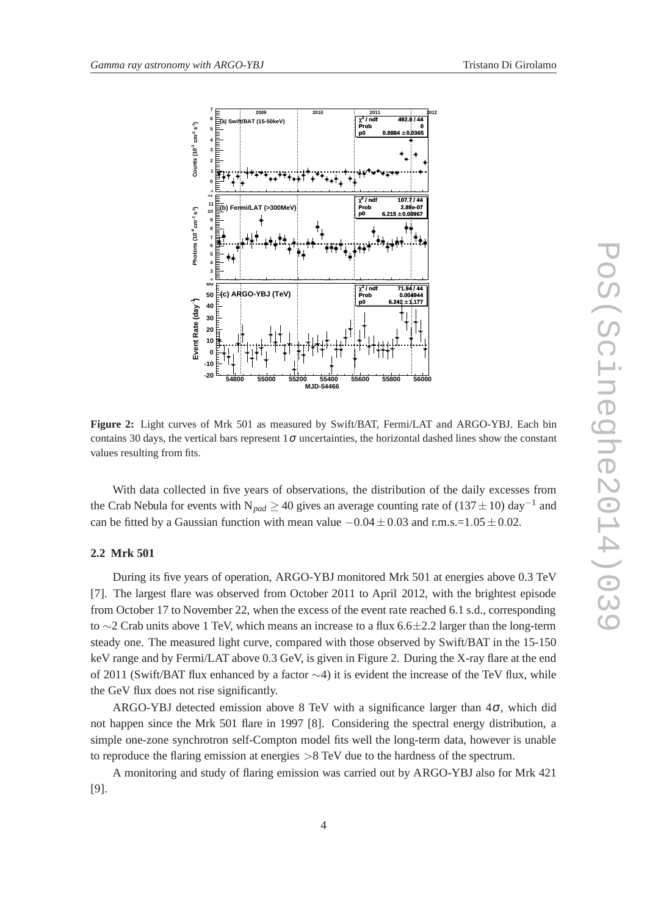

**Figure 2:** Light curves of Mrk 501 as measured by Swift/BAT, Fermi/LAT and ARGO-YBJ. Each bin contains 30 days, the vertical bars represent  $1\sigma$  uncertainties, the horizontal dashed lines show the constant values resulting from fits.

With data collected in five years of observations, the distribution of the daily excesses from the Crab Nebula for events with N<sub>pad</sub>  $\geq$  40 gives an average counting rate of (137  $\pm$  10) day<sup>-1</sup> and can be fitted by a Gaussian function with mean value  $-0.04 \pm 0.03$  and r.m.s.=1.05  $\pm 0.02$ .

# **2.2 Mrk 501**

During its five years of operation, ARGO-YBJ monitored Mrk 501 at energies above 0.3 TeV [7]. The largest flare was observed from October 2011 to April 2012, with the brightest episode from October 17 to November 22, when the excess of the event rate reached 6.1 s.d., corresponding to ∼2 Crab units above 1 TeV, which means an increase to a flux 6.6±2.2 larger than the long-term steady one. The measured light curve, compared with those observed by Swift/BAT in the 15-150 keV range and by Fermi/LAT above 0.3 GeV, is given in Figure 2. During the X-ray flare at the end of 2011 (Swift/BAT flux enhanced by a factor ∼4) it is evident the increase of the TeV flux, while the GeV flux does not rise significantly.

ARGO-YBJ detected emission above 8 TeV with a significance larger than  $4\sigma$ , which did not happen since the Mrk 501 flare in 1997 [8]. Considering the spectral energy distribution, a simple one-zone synchrotron self-Compton model fits well the long-term data, however is unable to reproduce the flaring emission at energies  $>8$  TeV due to the hardness of the spectrum.

A monitoring and study of flaring emission was carried out by ARGO-YBJ also for Mrk 421 [9].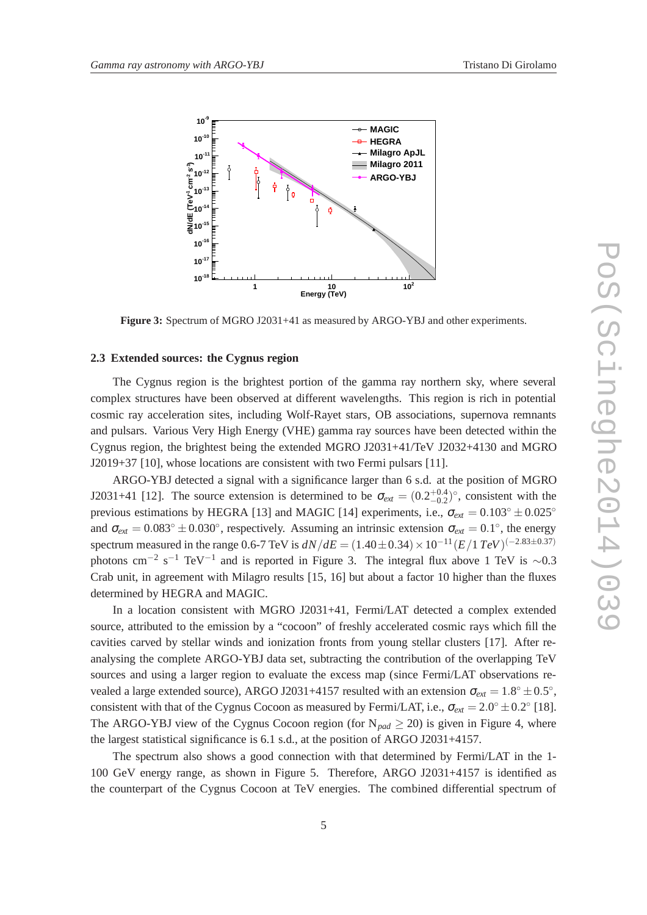

**Figure 3:** Spectrum of MGRO J2031+41 as measured by ARGO-YBJ and other experiments.

### **2.3 Extended sources: the Cygnus region**

The Cygnus region is the brightest portion of the gamma ray northern sky, where several complex structures have been observed at different wavelengths. This region is rich in potential cosmic ray acceleration sites, including Wolf-Rayet stars, OB associations, supernova remnants and pulsars. Various Very High Energy (VHE) gamma ray sources have been detected within the Cygnus region, the brightest being the extended MGRO J2031+41/TeV J2032+4130 and MGRO J2019+37 [10], whose locations are consistent with two Fermi pulsars [11].

ARGO-YBJ detected a signal with a significance larger than 6 s.d. at the position of MGRO J2031+41 [12]. The source extension is determined to be  $\sigma_{ext} = (0.2^{+0.4}_{-0.2})^{\circ}$ , consistent with the previous estimations by HEGRA [13] and MAGIC [14] experiments, i.e.,  $\sigma_{ext} = 0.103° \pm 0.025°$ and  $\sigma_{ext} = 0.083^\circ \pm 0.030^\circ$ , respectively. Assuming an intrinsic extension  $\sigma_{ext} = 0.1^\circ$ , the energy spectrum measured in the range 0.6-7 TeV is  $dN/dE = (1.40 \pm 0.34) \times 10^{-11} (E/1 \text{ TeV})^{(-2.83 \pm 0.37)}$ photons cm<sup>-2</sup> s<sup>-1</sup> TeV<sup>-1</sup> and is reported in Figure 3. The integral flux above 1 TeV is ~0.3 Crab unit, in agreement with Milagro results [15, 16] but about a factor 10 higher than the fluxes determined by HEGRA and MAGIC.

In a location consistent with MGRO J2031+41, Fermi/LAT detected a complex extended source, attributed to the emission by a "cocoon" of freshly accelerated cosmic rays which fill the cavities carved by stellar winds and ionization fronts from young stellar clusters [17]. After reanalysing the complete ARGO-YBJ data set, subtracting the contribution of the overlapping TeV sources and using a larger region to evaluate the excess map (since Fermi/LAT observations revealed a large extended source), ARGO J2031+4157 resulted with an extension  $\sigma_{ext} = 1.8^{\circ} \pm 0.5^{\circ}$ , consistent with that of the Cygnus Cocoon as measured by Fermi/LAT, i.e.,  $\sigma_{ext} = 2.0^{\circ} \pm 0.2^{\circ}$  [18]. The ARGO-YBJ view of the Cygnus Cocoon region (for  $N_{pad} \ge 20$ ) is given in Figure 4, where the largest statistical significance is 6.1 s.d., at the position of ARGO J2031+4157.

The spectrum also shows a good connection with that determined by Fermi/LAT in the 1- 100 GeV energy range, as shown in Figure 5. Therefore, ARGO J2031+4157 is identified as the counterpart of the Cygnus Cocoon at TeV energies. The combined differential spectrum of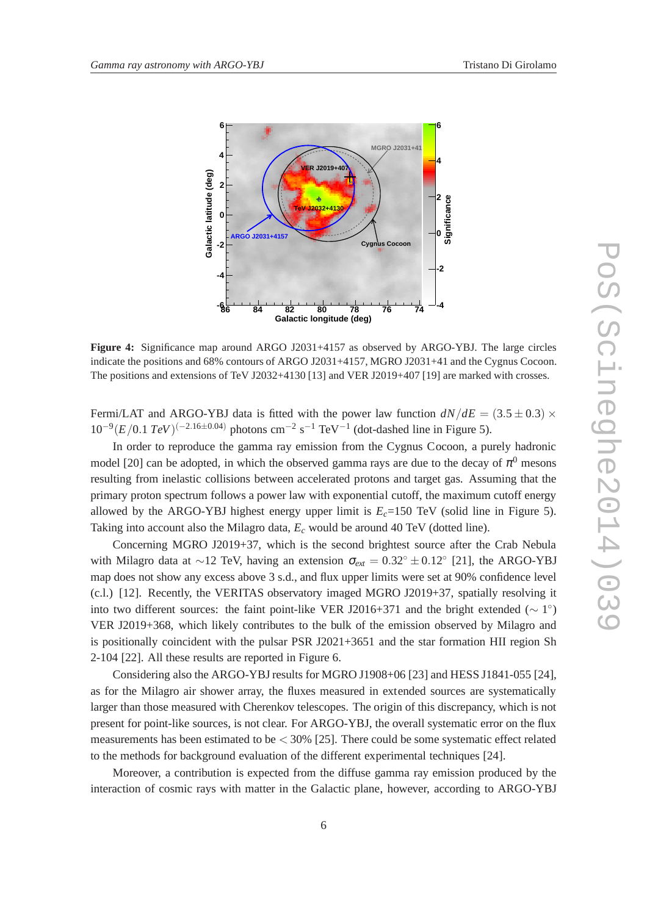

**Figure 4:** Significance map around ARGO J2031+4157 as observed by ARGO-YBJ. The large circles indicate the positions and 68% contours of ARGO J2031+4157, MGRO J2031+41 and the Cygnus Cocoon. The positions and extensions of TeV J2032+4130 [13] and VER J2019+407 [19] are marked with crosses.

Fermi/LAT and ARGO-YBJ data is fitted with the power law function  $dN/dE = (3.5 \pm 0.3) \times$  $10^{-9} (E/0.1 \text{ TeV})^{(-2.16 \pm 0.04)}$  photons cm<sup>-2</sup> s<sup>-1</sup> TeV<sup>-1</sup> (dot-dashed line in Figure 5).

In order to reproduce the gamma ray emission from the Cygnus Cocoon, a purely hadronic model [20] can be adopted, in which the observed gamma rays are due to the decay of  $\pi^0$  mesons resulting from inelastic collisions between accelerated protons and target gas. Assuming that the primary proton spectrum follows a power law with exponential cutoff, the maximum cutoff energy allowed by the ARGO-YBJ highest energy upper limit is  $E_c$ =150 TeV (solid line in Figure 5). Taking into account also the Milagro data, *E<sup>c</sup>* would be around 40 TeV (dotted line).

Concerning MGRO J2019+37, which is the second brightest source after the Crab Nebula with Milagro data at ~12 TeV, having an extension  $\sigma_{ext} = 0.32^{\circ} \pm 0.12^{\circ}$  [21], the ARGO-YBJ map does not show any excess above 3 s.d., and flux upper limits were set at 90% confidence level (c.l.) [12]. Recently, the VERITAS observatory imaged MGRO J2019+37, spatially resolving it into two different sources: the faint point-like VER J2016+371 and the bright extended ( $\sim 1^{\circ}$ ) VER J2019+368, which likely contributes to the bulk of the emission observed by Milagro and is positionally coincident with the pulsar PSR J2021+3651 and the star formation HII region Sh 2-104 [22]. All these results are reported in Figure 6.

Considering also the ARGO-YBJ results for MGRO J1908+06 [23] and HESS J1841-055 [24], as for the Milagro air shower array, the fluxes measured in extended sources are systematically larger than those measured with Cherenkov telescopes. The origin of this discrepancy, which is not present for point-like sources, is not clear. For ARGO-YBJ, the overall systematic error on the flux measurements has been estimated to be  $<$  30% [25]. There could be some systematic effect related to the methods for background evaluation of the different experimental techniques [24].

Moreover, a contribution is expected from the diffuse gamma ray emission produced by the interaction of cosmic rays with matter in the Galactic plane, however, according to ARGO-YBJ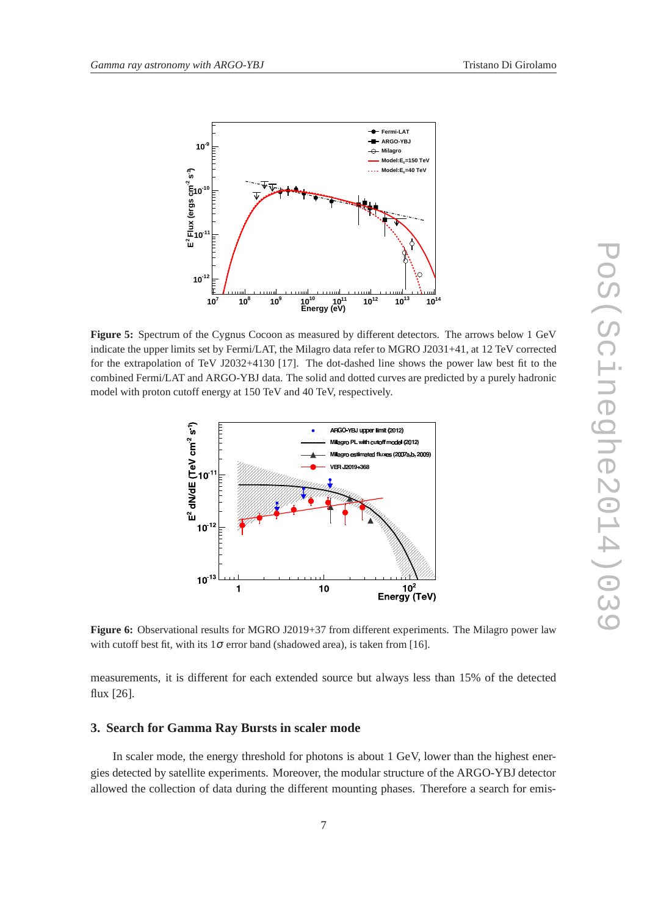

**Figure 5:** Spectrum of the Cygnus Cocoon as measured by different detectors. The arrows below 1 GeV indicate the upper limits set by Fermi/LAT, the Milagro data refer to MGRO J2031+41, at 12 TeV corrected for the extrapolation of TeV J2032+4130 [17]. The dot-dashed line shows the power law best fit to the combined Fermi/LAT and ARGO-YBJ data. The solid and dotted curves are predicted by a purely hadronic model with proton cutoff energy at 150 TeV and 40 TeV, respectively.



**Figure 6:** Observational results for MGRO J2019+37 from different experiments. The Milagro power law with cutoff best fit, with its  $1\sigma$  error band (shadowed area), is taken from [16].

measurements, it is different for each extended source but always less than 15% of the detected flux [26].

#### **3. Search for Gamma Ray Bursts in scaler mode**

In scaler mode, the energy threshold for photons is about 1 GeV, lower than the highest energies detected by satellite experiments. Moreover, the modular structure of the ARGO-YBJ detector allowed the collection of data during the different mounting phases. Therefore a search for emis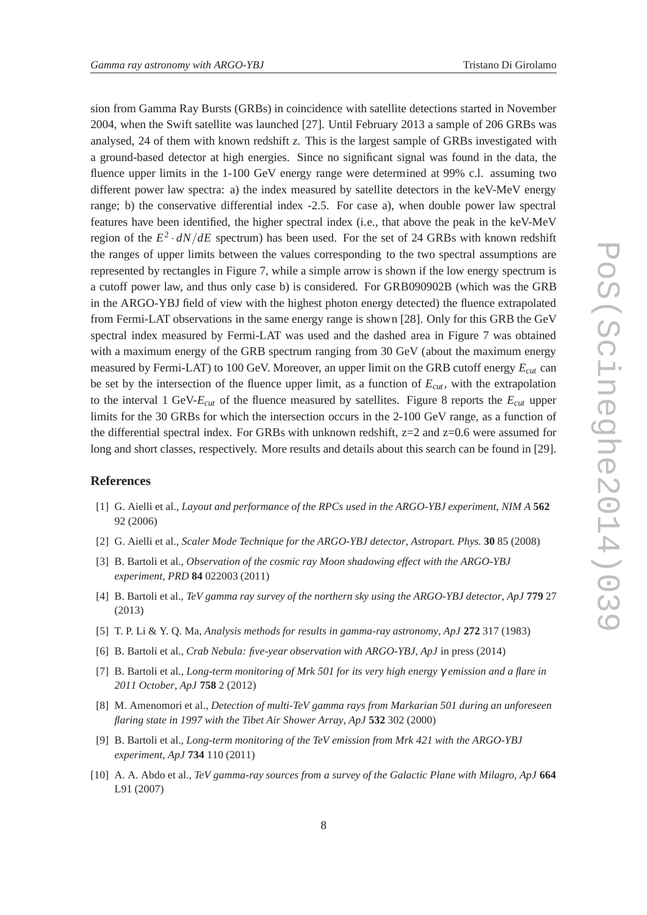sion from Gamma Ray Bursts (GRBs) in coincidence with satellite detections started in November 2004, when the Swift satellite was launched [27]. Until February 2013 a sample of 206 GRBs was analysed, 24 of them with known redshift *z*. This is the largest sample of GRBs investigated with a ground-based detector at high energies. Since no significant signal was found in the data, the fluence upper limits in the 1-100 GeV energy range were determined at 99% c.l. assuming two different power law spectra: a) the index measured by satellite detectors in the keV-MeV energy range; b) the conservative differential index -2.5. For case a), when double power law spectral features have been identified, the higher spectral index (i.e., that above the peak in the keV-MeV region of the  $E^2 \cdot dN/dE$  spectrum) has been used. For the set of 24 GRBs with known redshift the ranges of upper limits between the values corresponding to the two spectral assumptions are represented by rectangles in Figure 7, while a simple arrow is shown if the low energy spectrum is a cutoff power law, and thus only case b) is considered. For GRB090902B (which was the GRB in the ARGO-YBJ field of view with the highest photon energy detected) the fluence extrapolated from Fermi-LAT observations in the same energy range is shown [28]. Only for this GRB the GeV spectral index measured by Fermi-LAT was used and the dashed area in Figure 7 was obtained with a maximum energy of the GRB spectrum ranging from 30 GeV (about the maximum energy measured by Fermi-LAT) to 100 GeV. Moreover, an upper limit on the GRB cutoff energy *Ecut* can be set by the intersection of the fluence upper limit, as a function of  $E_{cut}$ , with the extrapolation to the interval 1 GeV-*Ecut* of the fluence measured by satellites. Figure 8 reports the *Ecut* upper limits for the 30 GRBs for which the intersection occurs in the 2-100 GeV range, as a function of the differential spectral index. For GRBs with unknown redshift,  $z=2$  and  $z=0.6$  were assumed for long and short classes, respectively. More results and details about this search can be found in [29].

## **References**

- [1] G. Aielli et al., *Layout and performance of the RPCs used in the ARGO-YBJ experiment*, *NIM A* **562** 92 (2006)
- [2] G. Aielli et al., *Scaler Mode Technique for the ARGO-YBJ detector*, *Astropart. Phys.* **30** 85 (2008)
- [3] B. Bartoli et al., *Observation of the cosmic ray Moon shadowing effect with the ARGO-YBJ experiment*, *PRD* **84** 022003 (2011)
- [4] B. Bartoli et al., *TeV gamma ray survey of the northern sky using the ARGO-YBJ detector*, *ApJ* **779** 27 (2013)
- [5] T. P. Li & Y. Q. Ma, *Analysis methods for results in gamma-ray astronomy*, *ApJ* **272** 317 (1983)
- [6] B. Bartoli et al., *Crab Nebula: five-year observation with ARGO-YBJ*, *ApJ* in press (2014)
- [7] B. Bartoli et al., *Long-term monitoring of Mrk 501 for its very high energy* γ *emission and a flare in 2011 October*, *ApJ* **758** 2 (2012)
- [8] M. Amenomori et al., *Detection of multi-TeV gamma rays from Markarian 501 during an unforeseen flaring state in 1997 with the Tibet Air Shower Array*, *ApJ* **532** 302 (2000)
- [9] B. Bartoli et al., *Long-term monitoring of the TeV emission from Mrk 421 with the ARGO-YBJ experiment*, *ApJ* **734** 110 (2011)
- [10] A. A. Abdo et al., *TeV gamma-ray sources from a survey of the Galactic Plane with Milagro*, *ApJ* **664** L91 (2007)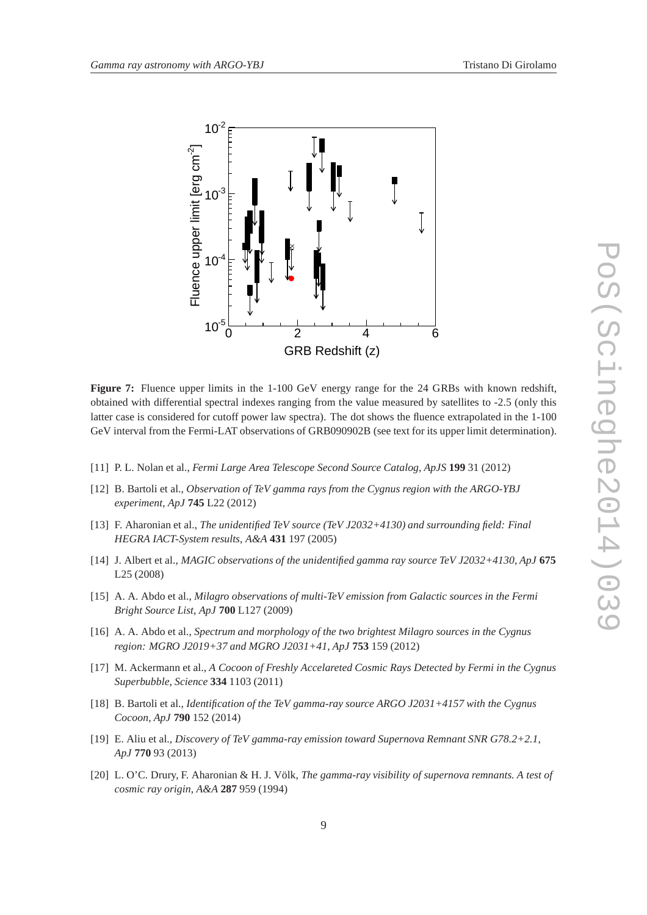

**Figure 7:** Fluence upper limits in the 1-100 GeV energy range for the 24 GRBs with known redshift, obtained with differential spectral indexes ranging from the value measured by satellites to -2.5 (only this latter case is considered for cutoff power law spectra). The dot shows the fluence extrapolated in the 1-100 GeV interval from the Fermi-LAT observations of GRB090902B (see text for its upper limit determination).

- [11] P. L. Nolan et al., *Fermi Large Area Telescope Second Source Catalog*, *ApJS* **199** 31 (2012)
- [12] B. Bartoli et al., *Observation of TeV gamma rays from the Cygnus region with the ARGO-YBJ experiment*, *ApJ* **745** L22 (2012)
- [13] F. Aharonian et al., *The unidentified TeV source (TeV J2032+4130) and surrounding field: Final HEGRA IACT-System results*, *A&A* **431** 197 (2005)
- [14] J. Albert et al., *MAGIC observations of the unidentified gamma ray source TeV J2032+4130*, *ApJ* **675** L25 (2008)
- [15] A. A. Abdo et al., *Milagro observations of multi-TeV emission from Galactic sources in the Fermi Bright Source List*, *ApJ* **700** L127 (2009)
- [16] A. A. Abdo et al., *Spectrum and morphology of the two brightest Milagro sources in the Cygnus region: MGRO J2019+37 and MGRO J2031+41*, *ApJ* **753** 159 (2012)
- [17] M. Ackermann et al., *A Cocoon of Freshly Accelareted Cosmic Rays Detected by Fermi in the Cygnus Superbubble*, *Science* **334** 1103 (2011)
- [18] B. Bartoli et al., *Identification of the TeV gamma-ray source ARGO J2031+4157 with the Cygnus Cocoon*, *ApJ* **790** 152 (2014)
- [19] E. Aliu et al., *Discovery of TeV gamma-ray emission toward Supernova Remnant SNR G78.2+2.1*, *ApJ* **770** 93 (2013)
- [20] L. O'C. Drury, F. Aharonian & H. J. Völk, *The gamma-ray visibility of supernova remnants. A test of cosmic ray origin*, *A&A* **287** 959 (1994)